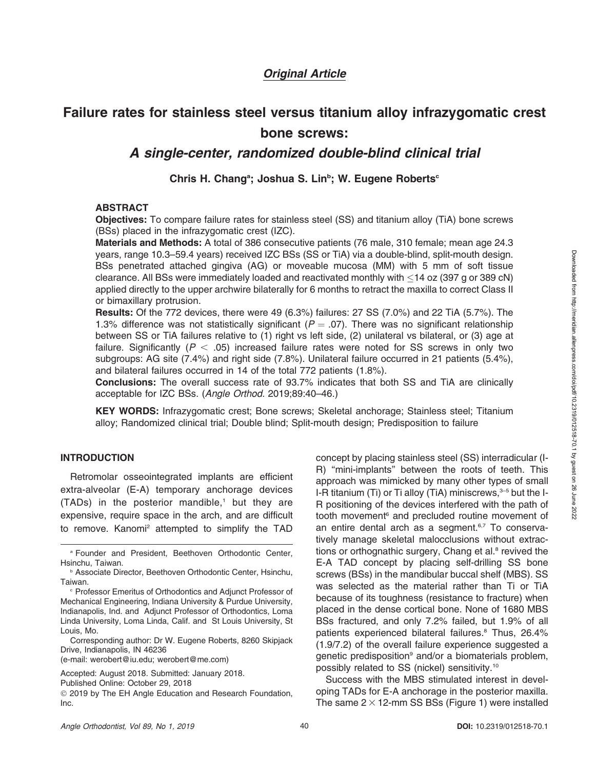# Original Article

# Failure rates for stainless steel versus titanium alloy infrazygomatic crest bone screws:

# A single-center, randomized double-blind clinical trial

## Chris H. Chang<sup>a</sup>; Joshua S. Lin<sup>b</sup>; W. Eugene Roberts<sup>c</sup>

### ABSTRACT

Objectives: To compare failure rates for stainless steel (SS) and titanium alloy (TiA) bone screws (BSs) placed in the infrazygomatic crest (IZC).

Materials and Methods: A total of 386 consecutive patients (76 male, 310 female; mean age 24.3 years, range 10.3–59.4 years) received IZC BSs (SS or TiA) via a double-blind, split-mouth design. BSs penetrated attached gingiva (AG) or moveable mucosa (MM) with 5 mm of soft tissue clearance. All BSs were immediately loaded and reactivated monthly with  $\leq$ 14 oz (397 g or 389 cN) applied directly to the upper archwire bilaterally for 6 months to retract the maxilla to correct Class II or bimaxillary protrusion.

Results: Of the 772 devices, there were 49 (6.3%) failures: 27 SS (7.0%) and 22 TiA (5.7%). The 1.3% difference was not statistically significant ( $P = .07$ ). There was no significant relationship between SS or TiA failures relative to (1) right vs left side, (2) unilateral vs bilateral, or (3) age at failure. Significantly ( $P < .05$ ) increased failure rates were noted for SS screws in only two subgroups: AG site (7.4%) and right side (7.8%). Unilateral failure occurred in 21 patients (5.4%), and bilateral failures occurred in 14 of the total 772 patients (1.8%).

Conclusions: The overall success rate of 93.7% indicates that both SS and TiA are clinically acceptable for IZC BSs. (Angle Orthod. 2019;89:40–46.)

KEY WORDS: Infrazygomatic crest; Bone screws; Skeletal anchorage; Stainless steel; Titanium alloy; Randomized clinical trial; Double blind; Split-mouth design; Predisposition to failure

#### INTRODUCTION

Retromolar osseointegrated implants are efficient extra-alveolar (E-A) temporary anchorage devices  $(TADs)$  in the posterior mandible,<sup>1</sup> but they are expensive, require space in the arch, and are difficult to remove. Kanomi<sup>2</sup> attempted to simplify the TAD

<sup>a</sup> Founder and President, Beethoven Orthodontic Center, Hsinchu, Taiwan.

Corresponding author: Dr W. Eugene Roberts, 8260 Skipjack Drive, Indianapolis, IN 46236

(e-mail: werobert@iu.edu; werobert@me.com)

Accepted: August 2018. Submitted: January 2018.

Published Online: October 29, 2018

- 2019 by The EH Angle Education and Research Foundation, Inc.

concept by placing stainless steel (SS) interradicular (I-R) ''mini-implants'' between the roots of teeth. This approach was mimicked by many other types of small I-R titanium (Ti) or Ti alloy (TiA) miniscrews, $3-5$  but the I-R positioning of the devices interfered with the path of tooth movement<sup>6</sup> and precluded routine movement of an entire dental arch as a segment.<sup>6,7</sup> To conservatively manage skeletal malocclusions without extractions or orthognathic surgery, Chang et al. $8$  revived the E-A TAD concept by placing self-drilling SS bone screws (BSs) in the mandibular buccal shelf (MBS). SS was selected as the material rather than Ti or TiA because of its toughness (resistance to fracture) when placed in the dense cortical bone. None of 1680 MBS BSs fractured, and only 7.2% failed, but 1.9% of all patients experienced bilateral failures.<sup>8</sup> Thus, 26.4% (1.9/7.2) of the overall failure experience suggested a genetic predisposition<sup>9</sup> and/or a biomaterials problem, possibly related to SS (nickel) sensitivity.10

Success with the MBS stimulated interest in developing TADs for E-A anchorage in the posterior maxilla. The same  $2 \times 12$ -mm SS BSs (Figure 1) were installed

**b Associate Director, Beethoven Orthodontic Center, Hsinchu,** Taiwan.

<sup>c</sup> Professor Emeritus of Orthodontics and Adjunct Professor of Mechanical Engineering, Indiana University & Purdue University, Indianapolis, Ind. and Adjunct Professor of Orthodontics, Loma Linda University, Loma Linda, Calif. and St Louis University, St Louis, Mo.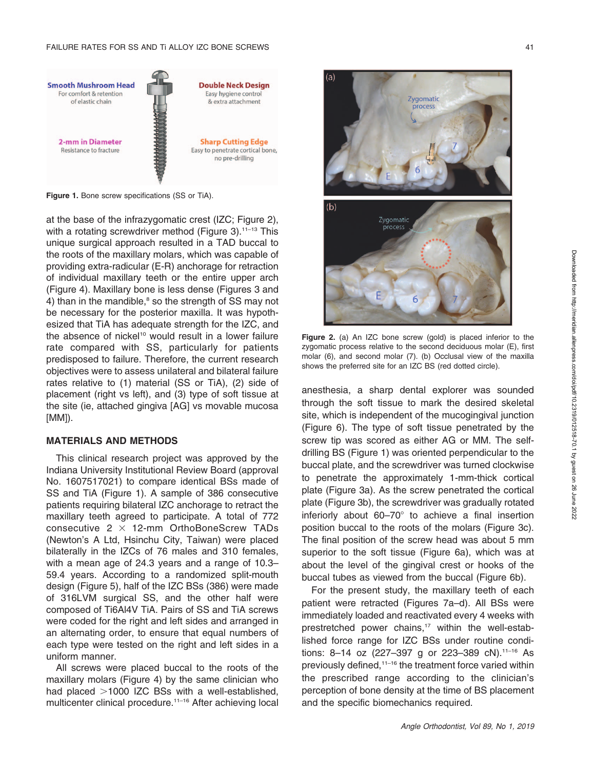

Figure 1. Bone screw specifications (SS or TiA).

at the base of the infrazygomatic crest (IZC; Figure 2), with a rotating screwdriver method (Figure 3).<sup>11-13</sup> This unique surgical approach resulted in a TAD buccal to the roots of the maxillary molars, which was capable of providing extra-radicular (E-R) anchorage for retraction of individual maxillary teeth or the entire upper arch (Figure 4). Maxillary bone is less dense (Figures 3 and 4) than in the mandible, $8$  so the strength of SS may not be necessary for the posterior maxilla. It was hypothesized that TiA has adequate strength for the IZC, and the absence of nickel<sup>10</sup> would result in a lower failure rate compared with SS, particularly for patients predisposed to failure. Therefore, the current research objectives were to assess unilateral and bilateral failure rates relative to (1) material (SS or TiA), (2) side of placement (right vs left), and (3) type of soft tissue at the site (ie, attached gingiva [AG] vs movable mucosa [MM]).

#### MATERIALS AND METHODS

This clinical research project was approved by the Indiana University Institutional Review Board (approval No. 1607517021) to compare identical BSs made of SS and TiA (Figure 1). A sample of 386 consecutive patients requiring bilateral IZC anchorage to retract the maxillary teeth agreed to participate. A total of 772 consecutive  $2 \times 12$ -mm OrthoBoneScrew TADs (Newton's A Ltd, Hsinchu City, Taiwan) were placed bilaterally in the IZCs of 76 males and 310 females, with a mean age of 24.3 years and a range of 10.3– 59.4 years. According to a randomized split-mouth design (Figure 5), half of the IZC BSs (386) were made of 316LVM surgical SS, and the other half were composed of Ti6Al4V TiA. Pairs of SS and TiA screws were coded for the right and left sides and arranged in an alternating order, to ensure that equal numbers of each type were tested on the right and left sides in a uniform manner.

All screws were placed buccal to the roots of the maxillary molars (Figure 4) by the same clinician who had placed  $>1000$  IZC BSs with a well-established, multicenter clinical procedure.11–16 After achieving local



Figure 2. (a) An IZC bone screw (gold) is placed inferior to the zygomatic process relative to the second deciduous molar (E), first molar (6), and second molar (7). (b) Occlusal view of the maxilla shows the preferred site for an IZC BS (red dotted circle).

anesthesia, a sharp dental explorer was sounded through the soft tissue to mark the desired skeletal site, which is independent of the mucogingival junction (Figure 6). The type of soft tissue penetrated by the screw tip was scored as either AG or MM. The selfdrilling BS (Figure 1) was oriented perpendicular to the buccal plate, and the screwdriver was turned clockwise to penetrate the approximately 1-mm-thick cortical plate (Figure 3a). As the screw penetrated the cortical plate (Figure 3b), the screwdriver was gradually rotated inferiorly about  $60-70^\circ$  to achieve a final insertion position buccal to the roots of the molars (Figure 3c). The final position of the screw head was about 5 mm superior to the soft tissue (Figure 6a), which was at about the level of the gingival crest or hooks of the buccal tubes as viewed from the buccal (Figure 6b).

For the present study, the maxillary teeth of each patient were retracted (Figures 7a–d). All BSs were immediately loaded and reactivated every 4 weeks with prestretched power chains,<sup>17</sup> within the well-established force range for IZC BSs under routine conditions: 8-14 oz (227-397 g or 223-389 cN).<sup>11-16</sup> As previously defined,<sup>11–16</sup> the treatment force varied within the prescribed range according to the clinician's perception of bone density at the time of BS placement and the specific biomechanics required.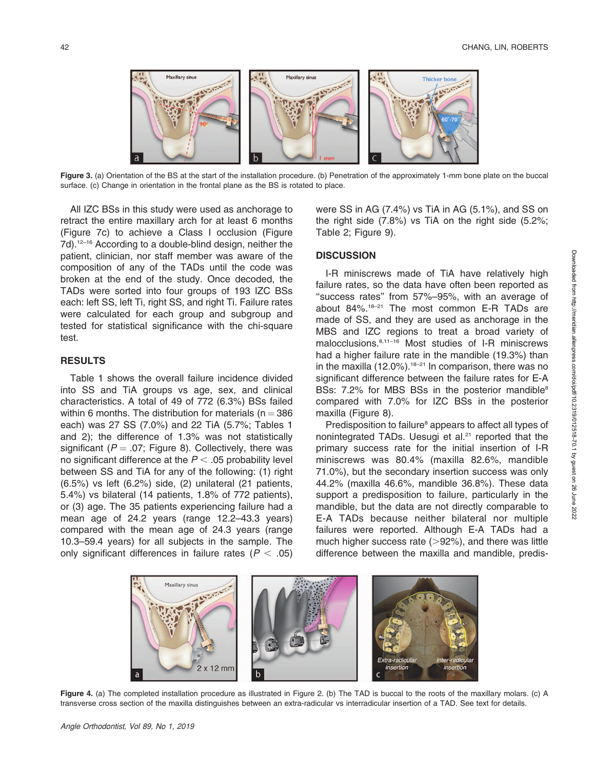

Figure 3. (a) Orientation of the BS at the start of the installation procedure. (b) Penetration of the approximately 1-mm bone plate on the buccal surface. (c) Change in orientation in the frontal plane as the BS is rotated to place.

All IZC BSs in this study were used as anchorage to retract the entire maxillary arch for at least 6 months (Figure 7c) to achieve a Class I occlusion (Figure 7d).<sup>12–16</sup> According to a double-blind design, neither the patient, clinician, nor staff member was aware of the composition of any of the TADs until the code was broken at the end of the study. Once decoded, the TADs were sorted into four groups of 193 IZC BSs each: left SS, left Ti, right SS, and right Ti. Failure rates were calculated for each group and subgroup and tested for statistical significance with the chi-square test.

#### RESULTS

Table 1 shows the overall failure incidence divided into SS and TiA groups vs age, sex, and clinical characteristics. A total of 49 of 772 (6.3%) BSs failed within 6 months. The distribution for materials ( $n = 386$ ) each) was 27 SS (7.0%) and 22 TiA (5.7%; Tables 1 and 2); the difference of 1.3% was not statistically significant ( $P = .07$ ; Figure 8). Collectively, there was no significant difference at the  $P < .05$  probability level between SS and TiA for any of the following: (1) right (6.5%) vs left (6.2%) side, (2) unilateral (21 patients, 5.4%) vs bilateral (14 patients, 1.8% of 772 patients), or (3) age. The 35 patients experiencing failure had a mean age of 24.2 years (range 12.2–43.3 years) compared with the mean age of 24.3 years (range 10.3–59.4 years) for all subjects in the sample. The only significant differences in failure rates ( $P < .05$ ) were SS in AG (7.4%) vs TiA in AG (5.1%), and SS on the right side (7.8%) vs TiA on the right side (5.2%; Table 2; Figure 9).

#### **DISCUSSION**

I-R miniscrews made of TiA have relatively high failure rates, so the data have often been reported as ''success rates'' from 57%–95%, with an average of about 84%.18–21 The most common E-R TADs are made of SS, and they are used as anchorage in the MBS and IZC regions to treat a broad variety of malocclusions.8,11–16 Most studies of I-R miniscrews had a higher failure rate in the mandible (19.3%) than in the maxilla  $(12.0\%)$ .<sup>18–21</sup> In comparison, there was no significant difference between the failure rates for E-A BSs: 7.2% for MBS BSs in the posterior mandible<sup>8</sup> compared with 7.0% for IZC BSs in the posterior maxilla (Figure 8).

Predisposition to failure<sup>8</sup> appears to affect all types of nonintegrated TADs. Uesugi et al.<sup>21</sup> reported that the primary success rate for the initial insertion of I-R miniscrews was 80.4% (maxilla 82.6%, mandible 71.0%), but the secondary insertion success was only 44.2% (maxilla 46.6%, mandible 36.8%). These data support a predisposition to failure, particularly in the mandible, but the data are not directly comparable to E-A TADs because neither bilateral nor multiple failures were reported. Although E-A TADs had a much higher success rate  $(>92%)$ , and there was little difference between the maxilla and mandible, predis-



Figure 4. (a) The completed installation procedure as illustrated in Figure 2. (b) The TAD is buccal to the roots of the maxillary molars. (c) A transverse cross section of the maxilla distinguishes between an extra-radicular vs interradicular insertion of a TAD. See text for details.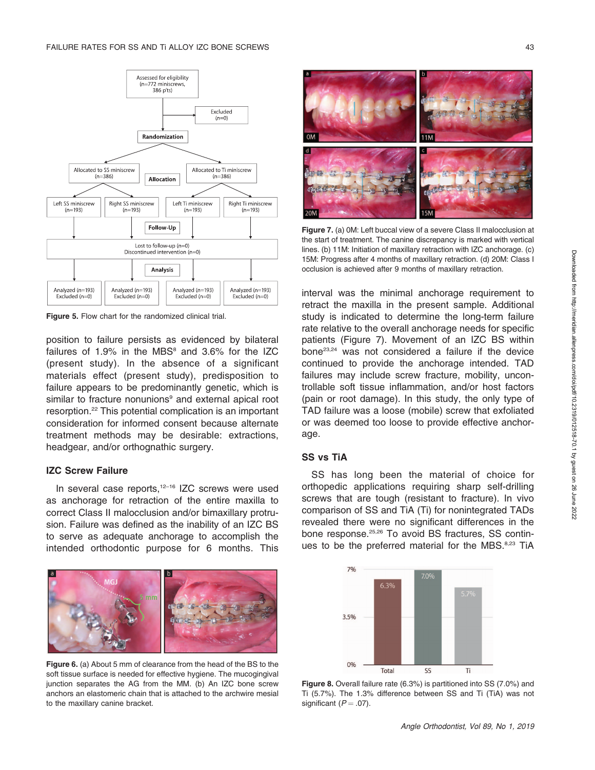

Figure 5. Flow chart for the randomized clinical trial.

position to failure persists as evidenced by bilateral failures of  $1.9\%$  in the MBS $^8$  and  $3.6\%$  for the IZC (present study). In the absence of a significant materials effect (present study), predisposition to failure appears to be predominantly genetic, which is similar to fracture nonunions<sup>9</sup> and external apical root resorption.22 This potential complication is an important consideration for informed consent because alternate treatment methods may be desirable: extractions, headgear, and/or orthognathic surgery.

#### IZC Screw Failure

In several case reports, $12-16$  IZC screws were used as anchorage for retraction of the entire maxilla to correct Class II malocclusion and/or bimaxillary protrusion. Failure was defined as the inability of an IZC BS to serve as adequate anchorage to accomplish the intended orthodontic purpose for 6 months. This



Figure 6. (a) About 5 mm of clearance from the head of the BS to the soft tissue surface is needed for effective hygiene. The mucogingival junction separates the AG from the MM. (b) An IZC bone screw anchors an elastomeric chain that is attached to the archwire mesial to the maxillary canine bracket.



Figure 7. (a) 0M: Left buccal view of a severe Class II malocclusion at the start of treatment. The canine discrepancy is marked with vertical lines. (b) 11M: Initiation of maxillary retraction with IZC anchorage. (c) 15M: Progress after 4 months of maxillary retraction. (d) 20M: Class I occlusion is achieved after 9 months of maxillary retraction.

interval was the minimal anchorage requirement to retract the maxilla in the present sample. Additional study is indicated to determine the long-term failure rate relative to the overall anchorage needs for specific patients (Figure 7). Movement of an IZC BS within bone23,24 was not considered a failure if the device continued to provide the anchorage intended. TAD failures may include screw fracture, mobility, uncontrollable soft tissue inflammation, and/or host factors (pain or root damage). In this study, the only type of TAD failure was a loose (mobile) screw that exfoliated or was deemed too loose to provide effective anchorage.

#### SS vs TiA

SS has long been the material of choice for orthopedic applications requiring sharp self-drilling screws that are tough (resistant to fracture). In vivo comparison of SS and TiA (Ti) for nonintegrated TADs revealed there were no significant differences in the bone response.<sup>25,26</sup> To avoid BS fractures, SS continues to be the preferred material for the MBS.<sup>8,23</sup> TiA



Figure 8. Overall failure rate (6.3%) is partitioned into SS (7.0%) and Ti (5.7%). The 1.3% difference between SS and Ti (TiA) was not significant  $(P = .07)$ .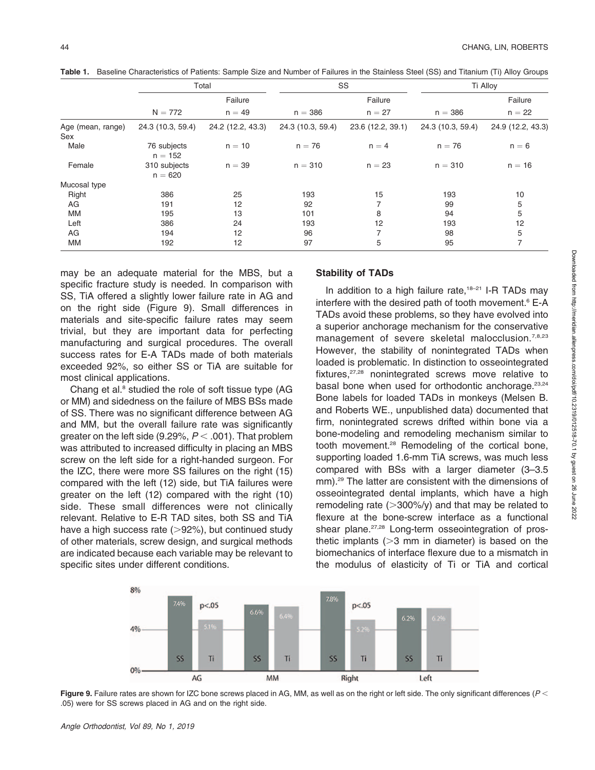|                          | Total                     |                   | SS                |                   | Ti Alloy          |                   |
|--------------------------|---------------------------|-------------------|-------------------|-------------------|-------------------|-------------------|
|                          |                           | Failure           |                   | Failure           |                   | Failure           |
|                          | $N = 772$                 | $n = 49$          | $n = 386$         | $n = 27$          | $n = 386$         | $n = 22$          |
| Age (mean, range)<br>Sex | 24.3 (10.3, 59.4)         | 24.2 (12.2, 43.3) | 24.3 (10.3, 59.4) | 23.6 (12.2, 39.1) | 24.3 (10.3, 59.4) | 24.9 (12.2, 43.3) |
| Male                     | 76 subjects<br>$n = 152$  | $n = 10$          | $n = 76$          | $n = 4$           | $n = 76$          | $n = 6$           |
| Female                   | 310 subjects<br>$n = 620$ | $n = 39$          | $n = 310$         | $n = 23$          | $n = 310$         | $n = 16$          |
| Mucosal type             |                           |                   |                   |                   |                   |                   |
| Right                    | 386                       | 25                | 193               | 15                | 193               | 10                |
| AG                       | 191                       | 12                | 92                | 7                 | 99                | 5                 |
| <b>MM</b>                | 195                       | 13                | 101               | 8                 | 94                | 5                 |
| Left                     | 386                       | 24                | 193               | 12                | 193               | 12                |
| AG                       | 194                       | 12                | 96                | $\overline{7}$    | 98                | 5                 |
| MM                       | 192                       | 12                | 97                | 5                 | 95                | 7                 |

Table 1. Baseline Characteristics of Patients: Sample Size and Number of Failures in the Stainless Steel (SS) and Titanium (Ti) Alloy Groups

may be an adequate material for the MBS, but a specific fracture study is needed. In comparison with SS, TiA offered a slightly lower failure rate in AG and on the right side (Figure 9). Small differences in materials and site-specific failure rates may seem trivial, but they are important data for perfecting manufacturing and surgical procedures. The overall success rates for E-A TADs made of both materials exceeded 92%, so either SS or TiA are suitable for most clinical applications.

Chang et al.<sup>8</sup> studied the role of soft tissue type (AG or MM) and sidedness on the failure of MBS BSs made of SS. There was no significant difference between AG and MM, but the overall failure rate was significantly greater on the left side (9.29%,  $P < .001$ ). That problem was attributed to increased difficulty in placing an MBS screw on the left side for a right-handed surgeon. For the IZC, there were more SS failures on the right (15) compared with the left (12) side, but TiA failures were greater on the left (12) compared with the right (10) side. These small differences were not clinically relevant. Relative to E-R TAD sites, both SS and TiA have a high success rate  $(>\!\!92\%)$ , but continued study of other materials, screw design, and surgical methods are indicated because each variable may be relevant to specific sites under different conditions.

#### Stability of TADs

In addition to a high failure rate, $18-21$  I-R TADs may interfere with the desired path of tooth movement. $6$  E-A TADs avoid these problems, so they have evolved into a superior anchorage mechanism for the conservative management of severe skeletal malocclusion.<sup>7,8,23</sup> However, the stability of nonintegrated TADs when loaded is problematic. In distinction to osseointegrated fixtures,<sup>27,28</sup> nonintegrated screws move relative to basal bone when used for orthodontic anchorage.<sup>23,24</sup> Bone labels for loaded TADs in monkeys (Melsen B. and Roberts WE., unpublished data) documented that firm, nonintegrated screws drifted within bone via a bone-modeling and remodeling mechanism similar to tooth movement.28 Remodeling of the cortical bone, supporting loaded 1.6-mm TiA screws, was much less compared with BSs with a larger diameter (3–3.5 mm).29 The latter are consistent with the dimensions of osseointegrated dental implants, which have a high remodeling rate  $(>300\%/y)$  and that may be related to flexure at the bone-screw interface as a functional shear plane.<sup>27,28</sup> Long-term osseointegration of prosthetic implants  $(>= 3$  mm in diameter) is based on the biomechanics of interface flexure due to a mismatch in the modulus of elasticity of Ti or TiA and cortical



Figure 9. Failure rates are shown for IZC bone screws placed in AG, MM, as well as on the right or left side. The only significant differences ( $P$  < .05) were for SS screws placed in AG and on the right side.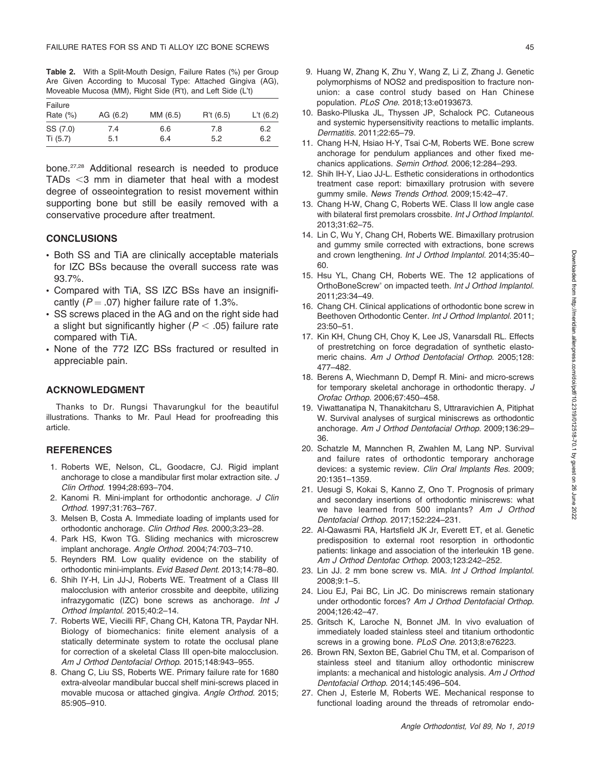Table 2. With a Split-Mouth Design, Failure Rates (%) per Group Are Given According to Mucosal Type: Attached Gingiva (AG), Moveable Mucosa (MM), Right Side (R't), and Left Side (L't)

| Failure<br>Rate $(\%)$ | AG (6.2) | MM (6.5) | R't (6.5) | L't $(6.2)$ |
|------------------------|----------|----------|-----------|-------------|
| SS (7.0)               | 7.4      | 6.6      | 7.8       | 6.2         |
| Ti (5.7)               | 5.1      | 6.4      | 5.2       | 6.2         |

bone.27,28 Additional research is needed to produce TADs  $<$ 3 mm in diameter that heal with a modest degree of osseointegration to resist movement within supporting bone but still be easily removed with a conservative procedure after treatment.

#### **CONCLUSIONS**

- Both SS and TiA are clinically acceptable materials for IZC BSs because the overall success rate was 93.7%.
- Compared with TiA, SS IZC BSs have an insignificantly ( $P = .07$ ) higher failure rate of 1.3%.
- SS screws placed in the AG and on the right side had a slight but significantly higher ( $P < .05$ ) failure rate compared with TiA.
- None of the 772 IZC BSs fractured or resulted in appreciable pain.

### ACKNOWLEDGMENT

Thanks to Dr. Rungsi Thavarungkul for the beautiful illustrations. Thanks to Mr. Paul Head for proofreading this article.

#### **REFERENCES**

- 1. Roberts WE, Nelson, CL, Goodacre, CJ. Rigid implant anchorage to close a mandibular first molar extraction site. J Clin Orthod. 1994;28:693–704.
- 2. Kanomi R. Mini-implant for orthodontic anchorage. J Clin Orthod. 1997;31:763–767.
- 3. Melsen B, Costa A. Immediate loading of implants used for orthodontic anchorage. Clin Orthod Res. 2000;3:23–28.
- 4. Park HS, Kwon TG. Sliding mechanics with microscrew implant anchorage. Angle Orthod. 2004;74:703–710.
- 5. Reynders RM. Low quality evidence on the stability of orthodontic mini-implants. Evid Based Dent. 2013;14:78–80.
- 6. Shih IY-H, Lin JJ-J, Roberts WE. Treatment of a Class III malocclusion with anterior crossbite and deepbite, utilizing infrazygomatic (IZC) bone screws as anchorage. Int J Orthod Implantol. 2015;40:2–14.
- 7. Roberts WE, Viecilli RF, Chang CH, Katona TR, Paydar NH. Biology of biomechanics: finite element analysis of a statically determinate system to rotate the occlusal plane for correction of a skeletal Class III open-bite malocclusion. Am J Orthod Dentofacial Orthop. 2015;148:943–955.
- 8. Chang C, Liu SS, Roberts WE. Primary failure rate for 1680 extra-alveolar mandibular buccal shelf mini-screws placed in movable mucosa or attached gingiva. Angle Orthod. 2015; 85:905–910.
- 9. Huang W, Zhang K, Zhu Y, Wang Z, Li Z, Zhang J. Genetic polymorphisms of NOS2 and predisposition to fracture nonunion: a case control study based on Han Chinese population. PLoS One. 2018;13:e0193673.
- 10. Basko-Plluska JL, Thyssen JP, Schalock PC. Cutaneous and systemic hypersensitivity reactions to metallic implants. Dermatitis. 2011;22:65–79.
- 11. Chang H-N, Hsiao H-Y, Tsai C-M, Roberts WE. Bone screw anchorage for pendulum appliances and other fixed mechanics applications. Semin Orthod. 2006;12:284–293.
- 12. Shih IH-Y, Liao JJ-L. Esthetic considerations in orthodontics treatment case report: bimaxillary protrusion with severe gummy smile. News Trends Orthod. 2009;15:42–47.
- 13. Chang H-W, Chang C, Roberts WE. Class II low angle case with bilateral first premolars crossbite. Int J Orthod Implantol. 2013;31:62–75.
- 14. Lin C, Wu Y, Chang CH, Roberts WE. Bimaxillary protrusion and gummy smile corrected with extractions, bone screws and crown lengthening. Int J Orthod Implantol. 2014;35:40– 60.
- 15. Hsu YL, Chang CH, Roberts WE. The 12 applications of OrthoBoneScrew® on impacted teeth. Int J Orthod Implantol. 2011;23:34–49.
- 16. Chang CH. Clinical applications of orthodontic bone screw in Beethoven Orthodontic Center. Int J Orthod Implantol. 2011; 23:50–51.
- 17. Kin KH, Chung CH, Choy K, Lee JS, Vanarsdall RL. Effects of prestretching on force degradation of synthetic elastomeric chains. Am J Orthod Dentofacial Orthop. 2005;128: 477–482.
- 18. Berens A, Wiechmann D, Dempf R. Mini- and micro-screws for temporary skeletal anchorage in orthodontic therapy. J Orofac Orthop. 2006;67:450–458.
- 19. Viwattanatipa N, Thanakitcharu S, Uttraravichien A, Pitiphat W. Survival analyses of surgical miniscrews as orthodontic anchorage. Am J Orthod Dentofacial Orthop. 2009;136:29– 36.
- 20. Schatzle M, Mannchen R, Zwahlen M, Lang NP. Survival and failure rates of orthodontic temporary anchorage devices: a systemic review. Clin Oral Implants Res. 2009; 20:1351–1359.
- 21. Uesugi S, Kokai S, Kanno Z, Ono T. Prognosis of primary and secondary insertions of orthodontic miniscrews: what we have learned from 500 implants? Am J Orthod Dentofacial Orthop. 2017;152:224–231.
- 22. Al-Qawasmi RA, Hartsfield JK Jr, Everett ET, et al. Genetic predisposition to external root resorption in orthodontic patients: linkage and association of the interleukin 1B gene. Am J Orthod Dentofac Orthop. 2003;123:242–252.
- 23. Lin JJ. 2 mm bone screw vs. MIA. Int J Orthod Implantol. 2008;9:1–5.
- 24. Liou EJ, Pai BC, Lin JC. Do miniscrews remain stationary under orthodontic forces? Am J Orthod Dentofacial Orthop. 2004;126:42–47.
- 25. Gritsch K, Laroche N, Bonnet JM. In vivo evaluation of immediately loaded stainless steel and titanium orthodontic screws in a growing bone. PLoS One. 2013;8:e76223.
- 26. Brown RN, Sexton BE, Gabriel Chu TM, et al. Comparison of stainless steel and titanium alloy orthodontic miniscrew implants: a mechanical and histologic analysis. Am J Orthod Dentofacial Orthop. 2014;145:496–504.
- 27. Chen J, Esterle M, Roberts WE. Mechanical response to functional loading around the threads of retromolar endo-